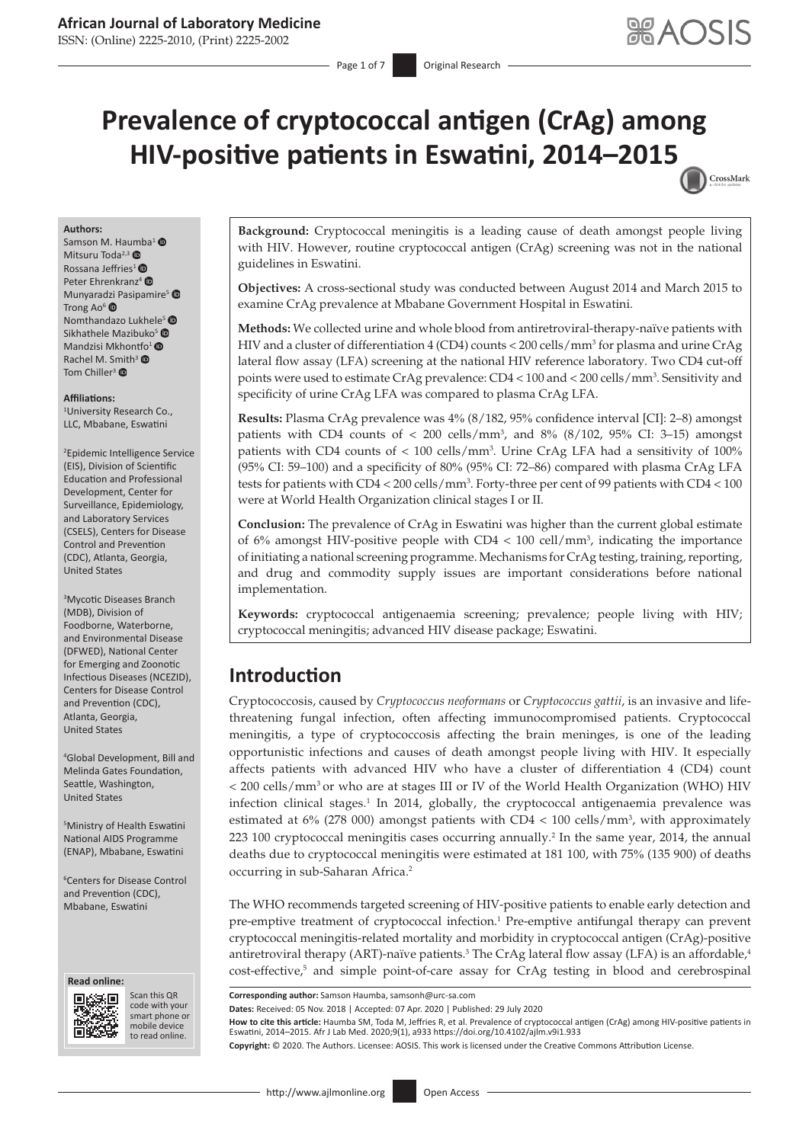ISSN: (Online) 2225-2010, (Print) 2225-2002

Page 1 of 7 **Original Research** 

# **Prevalence of cryptococcal antigen (CrAg) among HIV-positive patients in Eswatini, 2014–201[5](http://crossmark.crossref.org/dialog/?doi=10.4102/ajlm.v9i1.933=pdf&date_stamp=2020-07-29)** CrossMark

#### **Authors:**

Samson M. Haumba<sup>[1](https://orcid.org/0000-0001-5194-1247)</sup> Mitsuru Toda<sup>2,[3](https://orcid.org/0000-0002-5904-6658)</sup> Rossana Jeffries<sup>[1](https://orcid.org/0000-0003-2367-2072)</sup> $\bullet$ Peter Ehrenkranz<sup>[4](https://orcid.org/0000-0003-2028-4779)</sup> Munyara[dzi P](https://orcid.org/0000-0002-0775-5188)asipamire<sup>5</sup> Trong Ao $6$   $\bullet$ Nomthandazo Lukhele<sup>[5](https://orcid.org/0000-0001-6762-4334)</sup> Sikhathele Mazibuk[o](https://orcid.org/0000-0002-3139-0027)<sup>[5](https://orcid.org/0000-0003-2811-2621)</sup> $\bullet$ Mandzisi Mkhon[tfo](https://orcid.org/0000-0002-8337-1557)<sup>1</sup> ® Rachel M. S[mit](https://orcid.org/0000-0002-2251-8033)h<sup>3</sup> ® Tom Chiller<sup>3</sup> <sup>O</sup>

#### **Affiliations:**

1 University Research Co., LLC, Mbabane, Eswatini

2 Epidemic Intelligence Service (EIS), Division of Scientific Education and Professional Development, Center for Surveillance, Epidemiology, and Laboratory Services (CSELS), Centers for Disease Control and Prevention (CDC), Atlanta, Georgia, United States

3 Mycotic Diseases Branch (MDB), Division of Foodborne, Waterborne, and Environmental Disease (DFWED), National Center for Emerging and Zoonotic Infectious Diseases (NCEZID), Centers for Disease Control and Prevention (CDC), Atlanta, Georgia, United States

4 Global Development, Bill and Melinda Gates Foundation, Seattle, Washington, United States

5 Ministry of Health Eswatini National AIDS Programme (ENAP), Mbabane, Eswatini

6 Centers for Disease Control and Prevention (CDC), Mbabane, Eswatini





Scan this QR code with your Scan this QR<br>code with your<br>smart phone or<br>mobile device mobile device to read online. to read online.

**Background:** Cryptococcal meningitis is a leading cause of death amongst people living with HIV. However, routine cryptococcal antigen (CrAg) screening was not in the national guidelines in Eswatini.

**Objectives:** A cross-sectional study was conducted between August 2014 and March 2015 to examine CrAg prevalence at Mbabane Government Hospital in Eswatini.

**Methods:** We collected urine and whole blood from antiretroviral-therapy-naïve patients with HIV and a cluster of differentiation  $4$  (CD4) counts < 200 cells/mm<sup>3</sup> for plasma and urine CrAg lateral flow assay (LFA) screening at the national HIV reference laboratory. Two CD4 cut-off points were used to estimate CrAg prevalence: CD4 < 100 and < 200 cells/mm<sup>3</sup>. Sensitivity and specificity of urine CrAg LFA was compared to plasma CrAg LFA.

**Results:** Plasma CrAg prevalence was 4% (8/182, 95% confidence interval [CI]: 2–8) amongst patients with CD4 counts of  $< 200$  cells/mm<sup>3</sup>, and 8% (8/102, 95% CI: 3–15) amongst patients with CD4 counts of < 100 cells/mm3 . Urine CrAg LFA had a sensitivity of 100% (95% CI: 59–100) and a specificity of 80% (95% CI: 72–86) compared with plasma CrAg LFA tests for patients with CD4 < 200 cells/mm<sup>3</sup>. Forty-three per cent of 99 patients with CD4 < 100 were at World Health Organization clinical stages I or II.

**Conclusion:** The prevalence of CrAg in Eswatini was higher than the current global estimate of 6% amongst HIV-positive people with CD4 < 100 cell/mm<sup>3</sup>, indicating the importance ofinitiating a national screening programme. Mechanisms for CrAg testing, training, reporting, and drug and commodity supply issues are important considerations before national implementation.

**Keywords:** cryptococcal antigenaemia screening; prevalence; people living with HIV; cryptococcal meningitis; advanced HIV disease package; Eswatini.

## **Introduction**

<span id="page-0-0"></span>Cryptococcosis, caused by *Cryptococcus neoformans* or *Cryptococcus gattii*, is an invasive and lifethreatening fungal infection, often affecting immunocompromised patients. Cryptococcal meningitis, a type of cryptococcosis affecting the brain meninges, is one of the leading opportunistic infections and causes of death amongst people living with HIV. It especially affects patients with advanced HIV who have a cluster of differentiation 4 (CD4) count < 200 cells/mm3 or who are at stages III or IV of the World Health Organization (WHO) HIV infection clinical stages.<sup>[1](#page-5-0)</sup> In 2014, globally, the cryptococcal antigenaemia prevalence was estimated at  $6\%$  (278 000) amongst patients with CD4 < 100 cells/mm<sup>3</sup>, with approximately 223 100 cryptococcal meningitis cases occurring annually.<sup>2</sup> In the same year, 2014, the annual deaths due to cryptococcal meningitis were estimated at 181 100, with 75% (135 900) of deaths occurring in sub-Saharan Africa.[2](#page-6-0)

<span id="page-0-3"></span><span id="page-0-1"></span>The WHO recommends targeted screening of HIV-positive patients to enable early detection and pre-emptive treatment of cryptococcal infection.<sup>1</sup> Pre-emptive antifungal therapy can prevent cryptococcal meningitis-related mortality and morbidity in cryptococcal antigen (CrAg)-positive antiretroviral therapy (ART)-naïve patients.<sup>[3](#page-6-1)</sup> The CrAg lateral flow assay (LFA) is an affordable,<sup>4</sup> cost-effective,<sup>5</sup> and simple point-of-care assay for CrAg testing in blood and cerebrospinal

<span id="page-0-4"></span><span id="page-0-2"></span>**Corresponding author:** Samson Haumba, [samsonh@urc-sa.com](mailto:samsonh@urc-sa.com)

**Dates:** Received: 05 Nov. 2018 | Accepted: 07 Apr. 2020 | Published: 29 July 2020

**How to cite this article:** Haumba SM, Toda M, Jeffries R, et al. Prevalence of cryptococcal antigen (CrAg) among HIV-positive patients in Eswatini, 2014–2015. Afr J Lab Med. 2020;9(1), a933<https://doi.org/10.4102/ajlm.v9i1.933>

**Copyright:** © 2020. The Authors. Licensee: AOSIS. This work is licensed under the Creative Commons Attribution License.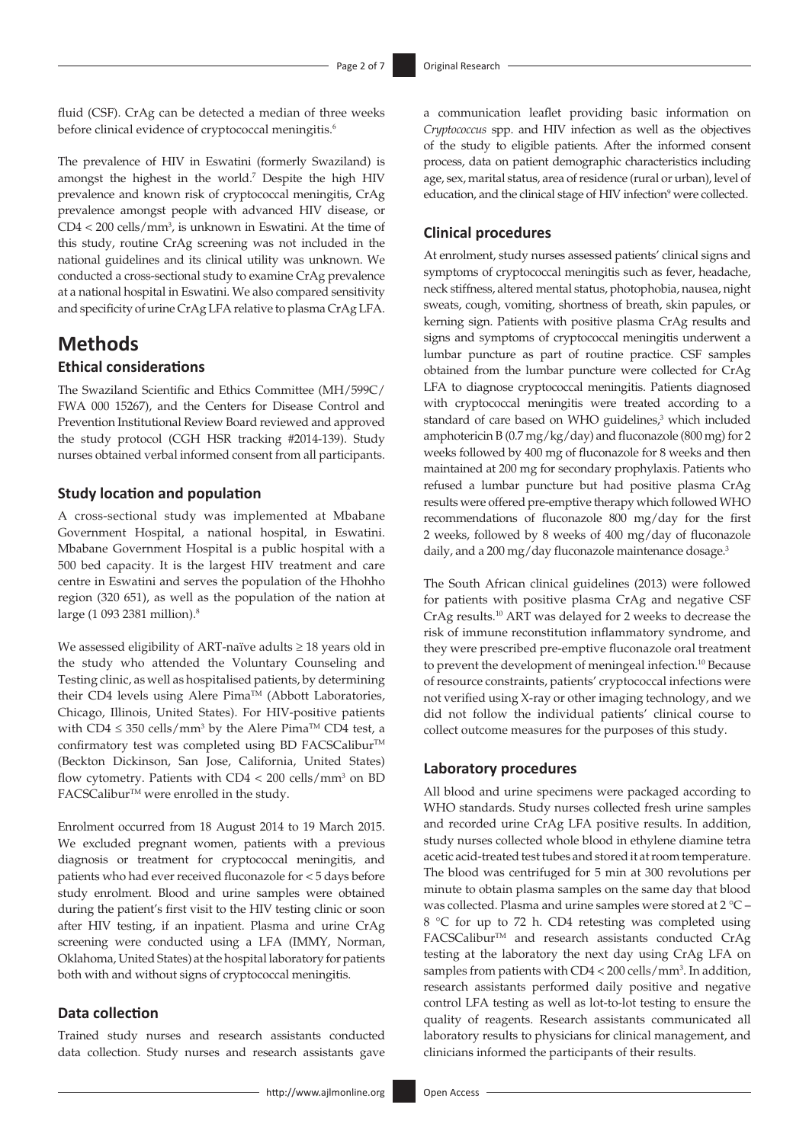<span id="page-1-0"></span>fluid (CSF). CrAg can be detected a median of three weeks before clinical evidence of cryptococcal meningitis.<sup>[6](#page-6-4)</sup>

<span id="page-1-1"></span>The prevalence of HIV in Eswatini (formerly Swaziland) is amongst the highest in the world.[7](#page-6-5) Despite the high HIV prevalence and known risk of cryptococcal meningitis, CrAg prevalence amongst people with advanced HIV disease, or  $CD4 < 200$  cells/mm<sup>3</sup>, is unknown in Eswatini. At the time of this study, routine CrAg screening was not included in the national guidelines and its clinical utility was unknown. We conducted a cross-sectional study to examine CrAg prevalence at a national hospital in Eswatini. We also compared sensitivity and specificity of urine CrAg LFA relative to plasma CrAg LFA.

## **Methods**

### **Ethical considerations**

The Swaziland Scientific and Ethics Committee (MH/599C/ FWA 000 15267), and the Centers for Disease Control and Prevention Institutional Review Board reviewed and approved the study protocol (CGH HSR tracking #2014-139). Study nurses obtained verbal informed consent from all participants.

#### **Study location and population**

A cross-sectional study was implemented at Mbabane Government Hospital, a national hospital, in Eswatini. Mbabane Government Hospital is a public hospital with a 500 bed capacity. It is the largest HIV treatment and care centre in Eswatini and serves the population of the Hhohho region (320 651), as well as the population of the nation at large (1 093 2381 million)[.8](#page-6-6)

<span id="page-1-2"></span>We assessed eligibility of ART-naïve adults  $\geq 18$  years old in the study who attended the Voluntary Counseling and Testing clinic, as well as hospitalised patients, by determining their CD4 levels using Alere Pima™ (Abbott Laboratories, Chicago, Illinois, United States). For HIV-positive patients with  $CD4 \leq 350$  cells/mm<sup>3</sup> by the Alere Pima<sup>TM</sup> CD4 test, a confirmatory test was completed using BD FACSCalibur™ (Beckton Dickinson, San Jose, California, United States) flow cytometry. Patients with CD4 < 200 cells/mm<sup>3</sup> on BD  $\text{FACSCalibur}^{\text{TM}}$  were enrolled in the study.

Enrolment occurred from 18 August 2014 to 19 March 2015. We excluded pregnant women, patients with a previous diagnosis or treatment for cryptococcal meningitis, and patients who had ever received fluconazole for < 5 days before study enrolment. Blood and urine samples were obtained during the patient's first visit to the HIV testing clinic or soon after HIV testing, if an inpatient. Plasma and urine CrAg screening were conducted using a LFA (IMMY, Norman, Oklahoma, United States) at the hospital laboratory for patients both with and without signs of cryptococcal meningitis.

#### **Data collection**

Trained study nurses and research assistants conducted data collection. Study nurses and research assistants gave a communication leaflet providing basic information on *Cryptococcus* spp. and HIV infection as well as the objectives of the study to eligible patients. After the informed consent process, data on patient demographic characteristics including age, sex, marital status, area of residence (rural or urban), level of education, and the clinical stage of HIV infection<sup>9</sup> were collected.

#### <span id="page-1-3"></span>**Clinical procedures**

At enrolment, study nurses assessed patients' clinical signs and symptoms of cryptococcal meningitis such as fever, headache, neck stiffness, altered mental status, photophobia, nausea, night sweats, cough, vomiting, shortness of breath, skin papules, or kerning sign. Patients with positive plasma CrAg results and signs and symptoms of cryptococcal meningitis underwent a lumbar puncture as part of routine practice. CSF samples obtained from the lumbar puncture were collected for CrAg LFA to diagnose cryptococcal meningitis. Patients diagnosed with cryptococcal meningitis were treated according to a standard of care based on WHO guidelines, $3$  which included amphotericin B (0.7 mg/kg/day) and fluconazole (800 mg) for 2 weeks followed by 400 mg of fluconazole for 8 weeks and then maintained at 200 mg for secondary prophylaxis. Patients who refused a lumbar puncture but had positive plasma CrAg results were offered pre-emptive therapy which followed WHO recommendations of fluconazole 800 mg/day for the first 2 weeks, followed by 8 weeks of 400 mg/day of fluconazole daily, and a 200 mg/day fluconazole maintenance dosage.<sup>3</sup>

<span id="page-1-4"></span>The South African clinical guidelines (2013) were followed for patients with positive plasma CrAg and negative CSF CrAg results.[10](#page-6-8) ART was delayed for 2 weeks to decrease the risk of immune reconstitution inflammatory syndrome, and they were prescribed pre-emptive fluconazole oral treatment to prevent the development of meningeal infection.<sup>10</sup> Because of resource constraints, patients' cryptococcal infections were not verified using X-ray or other imaging technology, and we did not follow the individual patients' clinical course to collect outcome measures for the purposes of this study.

#### **Laboratory procedures**

All blood and urine specimens were packaged according to WHO standards. Study nurses collected fresh urine samples and recorded urine CrAg LFA positive results. In addition, study nurses collected whole blood in ethylene diamine tetra acetic acid-treated test tubes and stored it at room temperature. The blood was centrifuged for 5 min at 300 revolutions per minute to obtain plasma samples on the same day that blood was collected. Plasma and urine samples were stored at 2 °C – 8 °C for up to 72 h. CD4 retesting was completed using FACSCalibur<sup>™</sup> and research assistants conducted CrAg testing at the laboratory the next day using CrAg LFA on samples from patients with CD4 < 200 cells/mm<sup>3</sup>. In addition, research assistants performed daily positive and negative control LFA testing as well as lot-to-lot testing to ensure the quality of reagents. Research assistants communicated all laboratory results to physicians for clinical management, and clinicians informed the participants of their results.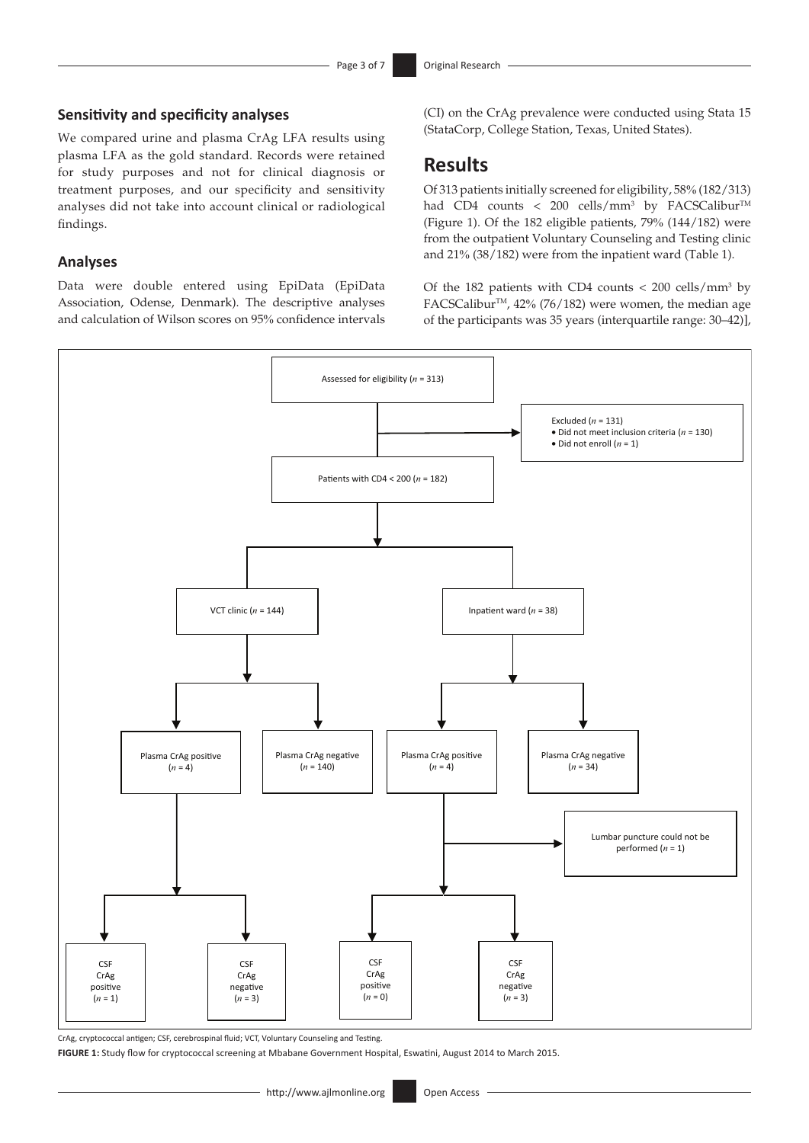#### **Sensitivity and specificity analyses**

We compared urine and plasma CrAg LFA results using plasma LFA as the gold standard. Records were retained for study purposes and not for clinical diagnosis or treatment purposes, and our specificity and sensitivity analyses did not take into account clinical or radiological findings.

#### **Analyses**

Data were double entered using EpiData (EpiData Association, Odense, Denmark). The descriptive analyses and calculation of Wilson scores on 95% confidence intervals (CI) on the CrAg prevalence were conducted using Stata 15 (StataCorp, College Station, Texas, United States).

### **Results**

Of 313 patients initially screened for eligibility, 58% (182/313) had CD4 counts < 200 cells/mm<sup>3</sup> by FACSCalibur<sup>TM</sup> (Figure 1). Of the 182 eligible patients,  $79\%$  (144/182) were from the outpatient Voluntary Counseling and Testing clinic and 21% (38/182) were from the inpatient ward (Table 1).

Of the 182 patients with CD4 counts  $<$  200 cells/mm<sup>3</sup> by FACSCalibur™, 42% (76/182) were women, the median age of the participants was 35 years (interquartile range: 30–42)],



CrAg, cryptococcal antigen; CSF, cerebrospinal fluid; VCT, Voluntary Counseling and Testing.

**FIGURE 1:** Study flow for cryptococcal screening at Mbabane Government Hospital, Eswatini, August 2014 to March 2015.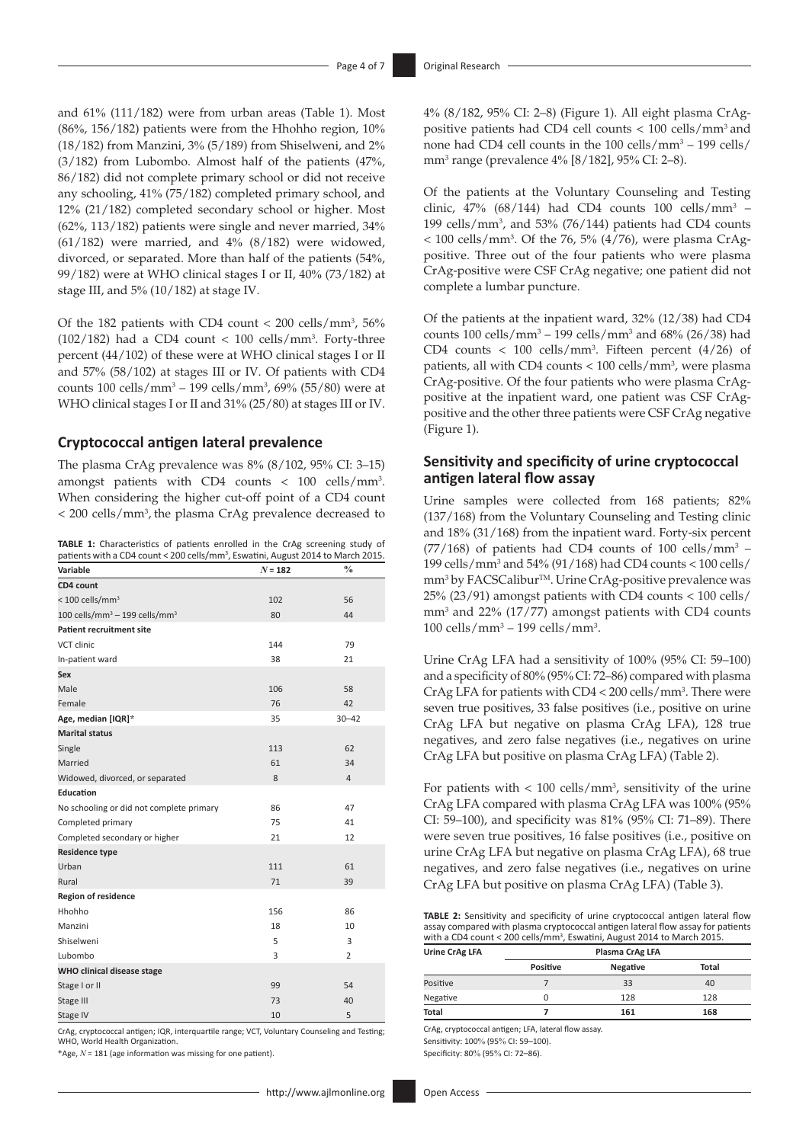and 61% (111/182) were from urban areas (Table 1). Most (86%, 156/182) patients were from the Hhohho region, 10% (18/182) from Manzini, 3% (5/189) from Shiselweni, and 2% (3/182) from Lubombo. Almost half of the patients (47%, 86/182) did not complete primary school or did not receive any schooling, 41% (75/182) completed primary school, and 12% (21/182) completed secondary school or higher. Most (62%, 113/182) patients were single and never married, 34%  $(61/182)$  were married, and  $4\%$   $(8/182)$  were widowed, divorced, or separated. More than half of the patients (54%, 99/182) were at WHO clinical stages I or II, 40% (73/182) at stage III, and 5% (10/182) at stage IV.

Of the 182 patients with CD4 count  $< 200$  cells/mm<sup>3</sup>, 56%  $(102/182)$  had a CD4 count < 100 cells/mm<sup>3</sup>. Forty-three percent (44/102) of these were at WHO clinical stages I or II and 57% (58/102) at stages III or IV. Of patients with CD4 counts 100 cells/mm3 – 199 cells/mm3 , 69% (55/80) were at WHO clinical stages I or II and 31% (25/80) at stages III or IV.

#### **Cryptococcal antigen lateral prevalence**

The plasma CrAg prevalence was 8% (8/102, 95% CI: 3–15) amongst patients with CD4 counts < 100 cells/mm3 . When considering the higher cut-off point of a CD4 count < 200 cells/mm3 , the plasma CrAg prevalence decreased to

**TABLE 1:** Characteristics of patients enrolled in the CrAg screening study of patients with a CD4 count < 200 cells/mm<sup>3</sup>, Eswatini, August 2014 to March 2015.

| Variable                                              | $N = 182$ | $\frac{0}{0}$  |
|-------------------------------------------------------|-----------|----------------|
| CD4 count                                             |           |                |
| $< 100$ cells/mm <sup>3</sup>                         | 102       | 56             |
| 100 cells/mm <sup>3</sup> - 199 cells/mm <sup>3</sup> | 80        | 44             |
| <b>Patient recruitment site</b>                       |           |                |
| VCT clinic                                            | 144       | 79             |
| In-patient ward                                       | 38        | 21             |
| Sex                                                   |           |                |
| Male                                                  | 106       | 58             |
| Female                                                | 76        | 42             |
| Age, median [IQR]*                                    | 35        | $30 - 42$      |
| <b>Marital status</b>                                 |           |                |
| Single                                                | 113       | 62             |
| Married                                               | 61        | 34             |
| Widowed, divorced, or separated                       | 8         | $\overline{4}$ |
| Education                                             |           |                |
| No schooling or did not complete primary              | 86        | 47             |
| Completed primary                                     | 75        | 41             |
| Completed secondary or higher                         | 21        | 12             |
| <b>Residence type</b>                                 |           |                |
| Urban                                                 | 111       | 61             |
| Rural                                                 | 71        | 39             |
| <b>Region of residence</b>                            |           |                |
| Hhohho                                                | 156       | 86             |
| Manzini                                               | 18        | 10             |
| Shiselweni                                            | 5         | 3              |
| Lubombo                                               | 3         | 2              |
| WHO clinical disease stage                            |           |                |
| Stage I or II                                         | 99        | 54             |
| Stage III                                             | 73        | 40             |
| Stage IV                                              | 10        | 5              |

CrAg, cryptococcal antigen; IQR, interquartile range; VCT, Voluntary Counseling and Testing; WHO, World Health Organization.

\*Age, *N* = 181 (age information was missing for one patient).

4% (8/182, 95% CI: 2–8) (Figure 1). All eight plasma CrAgpositive patients had CD4 cell counts < 100 cells/mm3 and none had CD4 cell counts in the 100 cells/mm<sup>3</sup> – 199 cells/ mm3 range (prevalence 4% [8/182], 95% CI: 2–8).

Of the patients at the Voluntary Counseling and Testing clinic,  $47\%$  (68/144) had CD4 counts 100 cells/mm<sup>3</sup> – 199 cells/mm3 , and 53% (76/144) patients had CD4 counts  $<$  100 cells/mm<sup>3</sup>. Of the 76, 5% (4/76), were plasma CrAgpositive. Three out of the four patients who were plasma CrAg-positive were CSF CrAg negative; one patient did not complete a lumbar puncture.

Of the patients at the inpatient ward, 32% (12/38) had CD4 counts 100 cells/mm<sup>3</sup> – 199 cells/mm<sup>3</sup> and 68% (26/38) had CD4 counts  $< 100$  cells/mm<sup>3</sup>. Fifteen percent  $(4/26)$  of patients, all with CD4 counts  $< 100$  cells/mm<sup>3</sup>, were plasma CrAg-positive. Of the four patients who were plasma CrAgpositive at the inpatient ward, one patient was CSF CrAgpositive and the other three patients were CSF CrAg negative (Figure 1).

#### **Sensitivity and specificity of urine cryptococcal antigen lateral flow assay**

Urine samples were collected from 168 patients; 82% (137/168) from the Voluntary Counseling and Testing clinic and 18% (31/168) from the inpatient ward. Forty-six percent  $(77/168)$  of patients had CD4 counts of 100 cells/mm<sup>3</sup> – 199 cells/mm3 and 54% (91/168) had CD4 counts < 100 cells/ mm<sup>3</sup> by FACSCalibur<sup>™</sup>. Urine CrAg-positive prevalence was 25% (23/91) amongst patients with CD4 counts < 100 cells/ mm3 and 22% (17/77) amongst patients with CD4 counts 100 cells/mm<sup>3</sup> – 199 cells/mm<sup>3</sup>.

Urine CrAg LFA had a sensitivity of 100% (95% CI: 59–100) and a specificity of 80% (95% CI: 72–86) compared with plasma CrAg LFA for patients with CD4 < 200 cells/mm3 . There were seven true positives, 33 false positives (i.e., positive on urine CrAg LFA but negative on plasma CrAg LFA), 128 true negatives, and zero false negatives (i.e., negatives on urine CrAg LFA but positive on plasma CrAg LFA) (Table 2).

For patients with  $< 100$  cells/mm<sup>3</sup>, sensitivity of the urine CrAg LFA compared with plasma CrAg LFA was 100% (95% CI: 59–100), and specificity was 81% (95% CI: 71–89). There were seven true positives, 16 false positives (i.e., positive on urine CrAg LFA but negative on plasma CrAg LFA), 68 true negatives, and zero false negatives (i.e., negatives on urine CrAg LFA but positive on plasma CrAg LFA) (Table 3).

**TABLE 2:** Sensitivity and specificity of urine cryptococcal antigen lateral flow assay compared with plasma cryptococcal antigen lateral flow assay for patients with a CD4 count < 200 cells/mm<sup>3</sup>, Eswatini, August 2014 to March 2015.

| Urine CrAg LFA | Plasma CrAg LFA |          |              |  |
|----------------|-----------------|----------|--------------|--|
|                | <b>Positive</b> | Negative | <b>Total</b> |  |
| Positive       |                 | 33       | 40           |  |
| Negative       | Ω               | 128      | 128          |  |
| Total          |                 | 161      | 168          |  |

CrAg, cryptococcal antigen; LFA, lateral flow assay. Sensitivity: 100% (95% CI: 59–100).

Specificity: 80% (95% CI: 72–86).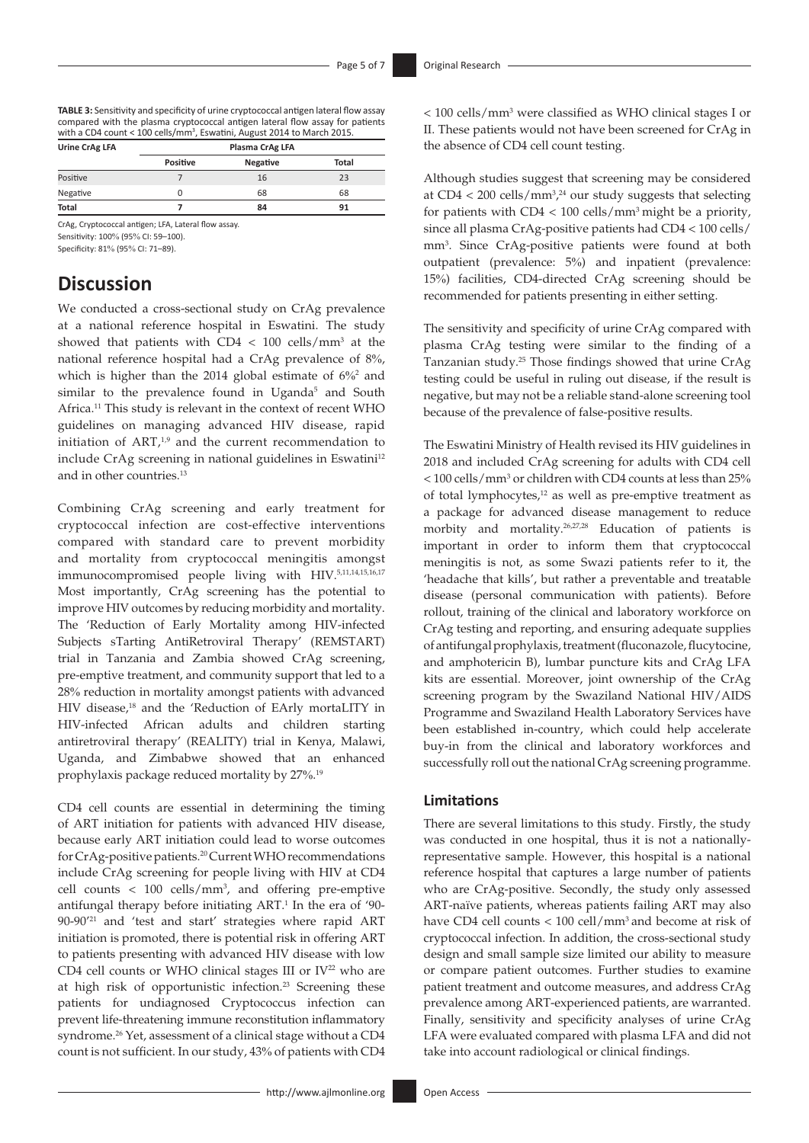**TABLE 3:** Sensitivity and specificity of urine cryptococcal antigen lateral flow assay compared with the plasma cryptococcal antigen lateral flow assay for patients with a CD4 count < 100 cells/mm<sup>3</sup>, Eswatini, August 2014 to March 2015.

|                 | Plasma CrAg LFA |              |  |
|-----------------|-----------------|--------------|--|
| <b>Positive</b> | Negative        | <b>Total</b> |  |
|                 | 16              | 23           |  |
| Ω               | 68              | 68           |  |
|                 | 84              | 91           |  |
|                 |                 |              |  |

CrAg, Cryptococcal antigen; LFA, Lateral flow assay. Sensitivity: 100% (95% CI: 59–100).

Specificity: 81% (95% CI: 71–89).

# **Discussion**

<span id="page-4-0"></span>We conducted a cross-sectional study on CrAg prevalence at a national reference hospital in Eswatini. The study showed that patients with  $CD4 < 100$  cells/mm<sup>3</sup> at the national reference hospital had a CrAg prevalence of 8%, which is higher than the [2](#page-6-0)014 global estimate of 6%<sup>2</sup> and similar to the prevalence found in Uganda<sup>5</sup> and South Africa[.11](#page-6-9) This study is relevant in the context of recent WHO guidelines on managing advanced HIV disease, rapid initiation of  $ART^{1,9}$  $ART^{1,9}$  $ART^{1,9}$  $ART^{1,9}$  $ART^{1,9}$  and the current recommendation to include CrAg screening in national guidelines in Eswatini<sup>12</sup> and in other countries.<sup>13</sup>

<span id="page-4-2"></span><span id="page-4-1"></span>Combining CrAg screening and early treatment for cryptococcal infection are cost-effective interventions compared with standard care to prevent morbidity and mortality from cryptococcal meningitis amongst immunocompromised people living with HIV[.5,](#page-6-3)[11](#page-6-9),[14,](#page-6-12)[15](#page-6-13),[16](#page-6-14)[,17](#page-6-15) Most importantly, CrAg screening has the potential to improve HIV outcomes by reducing morbidity and mortality. The 'Reduction of Early Mortality among HIV-infected Subjects sTarting AntiRetroviral Therapy' (REMSTART) trial in Tanzania and Zambia showed CrAg screening, pre-emptive treatment, and community support that led to a 28% reduction in mortality amongst patients with advanced HIV disease,<sup>[18](#page-6-16)</sup> and the 'Reduction of EArly mortaLITY in HIV-infected African adults and children starting antiretroviral therapy' (REALITY) trial in Kenya, Malawi, Uganda, and Zimbabwe showed that an enhanced prophylaxis package reduced mortality by 27%. [19](#page-6-17)

<span id="page-4-12"></span><span id="page-4-9"></span><span id="page-4-8"></span><span id="page-4-7"></span><span id="page-4-6"></span><span id="page-4-4"></span>CD4 cell counts are essential in determining the timing of ART initiation for patients with advanced HIV disease, because early ART initiation could lead to worse outcomes for CrAg-positive patients[.20](#page-6-18) Current WHO recommendations include CrAg screening for people living with HIV at CD4 cell counts  $< 100$  cells/mm<sup>3</sup>, and offering pre-emptive antifungal therapy before initiating ART.<sup>[1](#page-5-0)</sup> In the era of '90-90-90['21](#page-6-19) and 'test and start' strategies where rapid ART initiation is promoted, there is potential risk in offering ART to patients presenting with advanced HIV disease with low CD4 cell counts or WHO clinical stages III or  $IV^{22}$  who are at high risk of opportunistic infection.<sup>23</sup> Screening these patients for undiagnosed Cryptococcus infection can prevent life-threatening immune reconstitution inflammatory syndrome[.26](#page-6-22) Yet, assessment of a clinical stage without a CD4 count is not sufficient. In our study, 43% of patients with CD4

< 100 cells/mm3 were classified as WHO clinical stages I or II. These patients would not have been screened for CrAg in the absence of CD4 cell count testing.

<span id="page-4-10"></span>Although studies suggest that screening may be considered at  $CD4 < 200$  cells/mm<sup>3,24</sup> our study suggests that selecting for patients with  $CD4 < 100$  cells/mm<sup>3</sup> might be a priority, since all plasma CrAg-positive patients had CD4 < 100 cells/ mm3 . Since CrAg-positive patients were found at both outpatient (prevalence: 5%) and inpatient (prevalence: 15%) facilities, CD4-directed CrAg screening should be recommended for patients presenting in either setting.

<span id="page-4-11"></span>The sensitivity and specificity of urine CrAg compared with plasma CrAg testing were similar to the finding of a Tanzanian study.[25](#page-6-24) Those findings showed that urine CrAg testing could be useful in ruling out disease, if the result is negative, but may not be a reliable stand-alone screening tool because of the prevalence of false-positive results.

<span id="page-4-13"></span><span id="page-4-3"></span>The Eswatini Ministry of Health revised its HIV guidelines in 2018 and included CrAg screening for adults with CD4 cell < 100 cells/mm3 or children with CD4 counts at less than 25% of total lymphocytes,<sup>[12](#page-6-10)</sup> as well as pre-emptive treatment as a package for advanced disease management to reduce morbity and mortality.[26](#page-6-22)[,27,](#page-6-25)[28](#page-6-26) Education of patients is important in order to inform them that cryptococcal meningitis is not, as some Swazi patients refer to it, the 'headache that kills', but rather a preventable and treatable disease (personal communication with patients). Before rollout, training of the clinical and laboratory workforce on CrAg testing and reporting, and ensuring adequate supplies of antifungal prophylaxis, treatment (fluconazole, flucytocine, and amphotericin B), lumbar puncture kits and CrAg LFA kits are essential. Moreover, joint ownership of the CrAg screening program by the Swaziland National HIV/AIDS Programme and Swaziland Health Laboratory Services have been established in-country, which could help accelerate buy-in from the clinical and laboratory workforces and successfully roll out the national CrAg screening programme.

#### <span id="page-4-5"></span>**Limitations**

There are several limitations to this study. Firstly, the study was conducted in one hospital, thus it is not a nationallyrepresentative sample. However, this hospital is a national reference hospital that captures a large number of patients who are CrAg-positive. Secondly, the study only assessed ART-naïve patients, whereas patients failing ART may also have CD4 cell counts < 100 cell/mm<sup>3</sup> and become at risk of cryptococcal infection. In addition, the cross-sectional study design and small sample size limited our ability to measure or compare patient outcomes. Further studies to examine patient treatment and outcome measures, and address CrAg prevalence among ART-experienced patients, are warranted. Finally, sensitivity and specificity analyses of urine CrAg LFA were evaluated compared with plasma LFA and did not take into account radiological or clinical findings.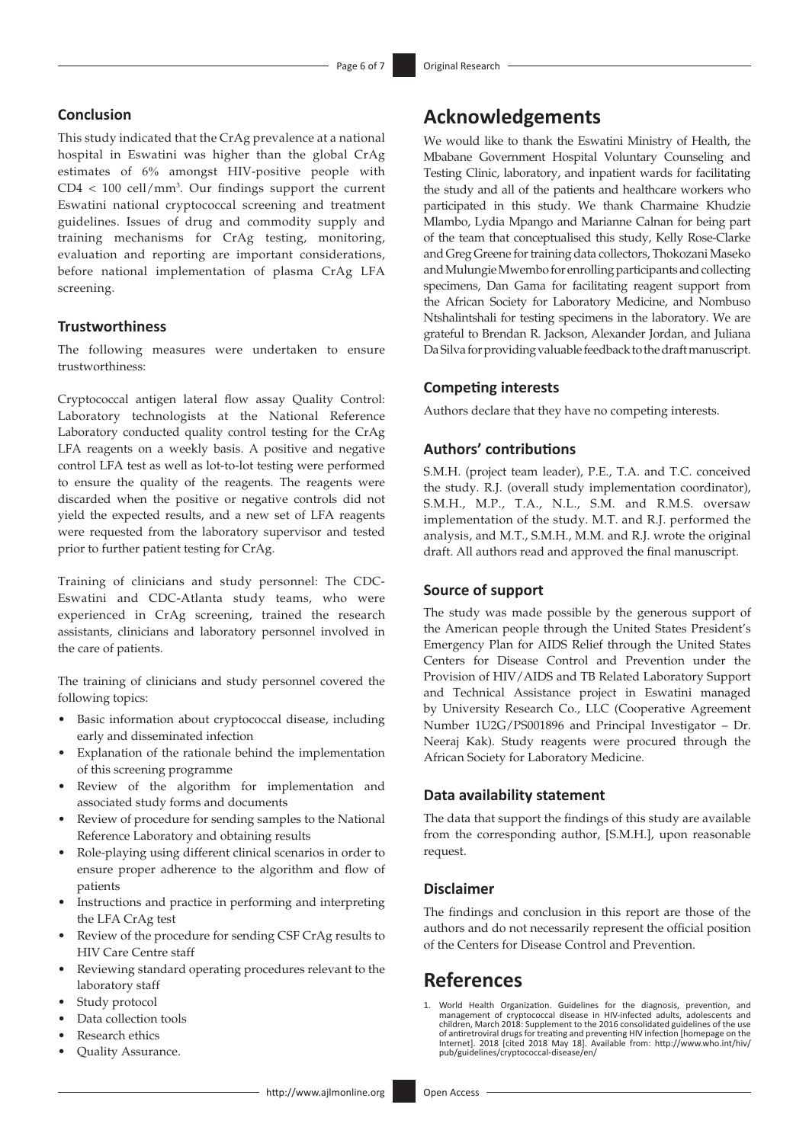#### **Conclusion**

This study indicated that the CrAg prevalence at a national hospital in Eswatini was higher than the global CrAg estimates of 6% amongst HIV-positive people with  $CD4 < 100$  cell/mm<sup>3</sup>. Our findings support the current Eswatini national cryptococcal screening and treatment guidelines. Issues of drug and commodity supply and training mechanisms for CrAg testing, monitoring, evaluation and reporting are important considerations, before national implementation of plasma CrAg LFA screening.

#### **Trustworthiness**

The following measures were undertaken to ensure trustworthiness:

Cryptococcal antigen lateral flow assay Quality Control: Laboratory technologists at the National Reference Laboratory conducted quality control testing for the CrAg LFA reagents on a weekly basis. A positive and negative control LFA test as well as lot-to-lot testing were performed to ensure the quality of the reagents. The reagents were discarded when the positive or negative controls did not yield the expected results, and a new set of LFA reagents were requested from the laboratory supervisor and tested prior to further patient testing for CrAg.

Training of clinicians and study personnel: The CDC-Eswatini and CDC-Atlanta study teams, who were experienced in CrAg screening, trained the research assistants, clinicians and laboratory personnel involved in the care of patients.

The training of clinicians and study personnel covered the following topics:

- Basic information about cryptococcal disease, including early and disseminated infection
- Explanation of the rationale behind the implementation of this screening programme
- Review of the algorithm for implementation and associated study forms and documents
- Review of procedure for sending samples to the National Reference Laboratory and obtaining results
- Role-playing using different clinical scenarios in order to ensure proper adherence to the algorithm and flow of patients
- Instructions and practice in performing and interpreting the LFA CrAg test
- Review of the procedure for sending CSF CrAg results to HIV Care Centre staff
- Reviewing standard operating procedures relevant to the laboratory staff
- Study protocol
- Data collection tools
- Research ethics
- Quality Assurance.

## **Acknowledgements**

We would like to thank the Eswatini Ministry of Health, the Mbabane Government Hospital Voluntary Counseling and Testing Clinic, laboratory, and inpatient wards for facilitating the study and all of the patients and healthcare workers who participated in this study. We thank Charmaine Khudzie Mlambo, Lydia Mpango and Marianne Calnan for being part of the team that conceptualised this study, Kelly Rose-Clarke and Greg Greene for training data collectors, Thokozani Maseko and Mulungie Mwembo for enrolling participants and collecting specimens, Dan Gama for facilitating reagent support from the African Society for Laboratory Medicine, and Nombuso Ntshalintshali for testing specimens in the laboratory. We are grateful to Brendan R. Jackson, Alexander Jordan, and Juliana Da Silva for providing valuable feedback to the draft manuscript.

#### **Competing interests**

Authors declare that they have no competing interests.

### **Authors' contributions**

S.M.H. (project team leader), P.E., T.A. and T.C. conceived the study. R.J. (overall study implementation coordinator), S.M.H., M.P., T.A., N.L., S.M. and R.M.S. oversaw implementation of the study. M.T. and R.J. performed the analysis, and M.T., S.M.H., M.M. and R.J. wrote the original draft. All authors read and approved the final manuscript.

#### **Source of support**

The study was made possible by the generous support of the American people through the United States President's Emergency Plan for AIDS Relief through the United States Centers for Disease Control and Prevention under the Provision of HIV/AIDS and TB Related Laboratory Support and Technical Assistance project in Eswatini managed by University Research Co., LLC (Cooperative Agreement Number 1U2G/PS001896 and Principal Investigator – Dr. Neeraj Kak). Study reagents were procured through the African Society for Laboratory Medicine.

#### **Data availability statement**

The data that support the findings of this study are available from the corresponding author, [S.M.H.], upon reasonable request.

#### **Disclaimer**

The findings and conclusion in this report are those of the authors and do not necessarily represent the official position of the Centers for Disease Control and Prevention.

## **References**

<span id="page-5-0"></span>[1.](#page-0-0) World Health Organization. Guidelines for the diagnosis, prevention, and<br>management of cryptococcal disease in HIV-infected adults, adolescents and<br>children, March 2018: Supplement to the 2016 consolidated guidelines of of antiretroviral drugs for treating and preventing HIV infection [homepage on the Internet]. 2018 [cited 2018 May 18]. Available from: [http://www.who.int/hiv/](http://www.who.int/hiv/pub/guidelines/cryptococcal-disease/en/) [pub/guidelines/cryptococcal-disease/en/](http://www.who.int/hiv/pub/guidelines/cryptococcal-disease/en/)